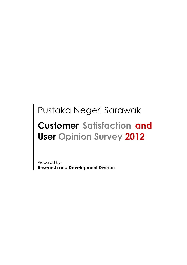## Pustaka Negeri Sarawak

# Customer Satisfaction and User Opinion Survey 2012

Prepared by: Research and Development Division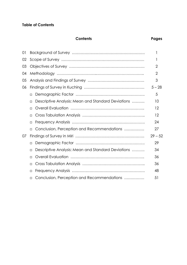#### Table of Contents

#### Contents Pages

| 01 |                                                              |           |
|----|--------------------------------------------------------------|-----------|
| 02 |                                                              |           |
| 03 |                                                              | 2         |
| 04 |                                                              | 2         |
| 05 |                                                              | 3         |
| 06 |                                                              | $5 - 28$  |
|    | $\Box$                                                       | 5         |
|    | Descriptive Analysis: Mean and Standard Deviations<br>$\Box$ | 10        |
|    | □                                                            | 12        |
|    | $\Box$                                                       | 12        |
|    | $\Box$                                                       | 24        |
|    | Conclusion, Perception and Recommendations<br>П              | 27        |
| 07 |                                                              | $29 - 52$ |
|    | $\Box$                                                       | 29        |
|    | Descriptive Analysis: Mean and Standard Deviations<br>$\Box$ | 34        |
|    | $\Box$                                                       | 36        |
|    | $\Box$                                                       | 36        |
|    | $\Box$                                                       | 48        |
|    | Conclusion, Perception and Recommendations<br>$\Box$         | 51        |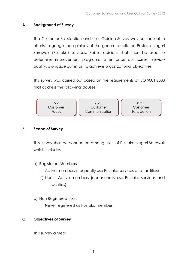#### A Background of Survey

The Customer Satisfaction and User Opinion Survey was carried out in efforts to gauge the opinions of the general public on Pustaka Negeri Sarawak (Pustaka) services. Public opinions shall then be used to determine improvement programs to enhance our current service quality, alongside our effort to achieve organizational objectives.

This survey was carried out based on the requirements of ISO 9001:2008 that address the following clauses:



#### B. Scope of Survey

This survey shall be conducted among users of Pustaka Negeri Sarawak which includes:

- a) Registered Members
	- (i) Active members (frequently use Pustaka services and facilities)
	- (ii) Non Active members (occasionally use Pustaka services and facilities)
- b) Non Registered Users
	- (i) Never registered as Pustaka member

#### C. Objectives of Survey

This survey aimed: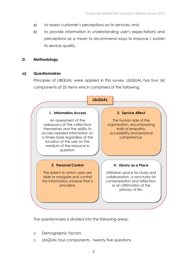- a) to assess customer's perceptions on its services; and
- b) to provide information in understanding user's expectations and perceptions as a mean to recommend ways to improve / sustain its service quality.

#### D. Methodology

#### a) Questionnaires

Principles of LIBQUAL were applied in this survey. LibQUAL has four (4) components of 25 items which comprised of the following:



The questionnaire is divided into the following areas:

- Demographic factors
- LibQUAL four components twenty five questions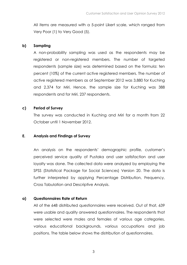All items are measured with a 5-point Likert scale, which ranged from Very Poor (1) to Very Good (5).

#### b) Sampling

A non-probability sampling was used as the respondents may be registered or non-registered members. The number of targeted respondents (sample size) was determined based on the formula: ten percent (10%) of the current active registered members. The number of active registered members as at September 2012 was 3,880 for Kuching and 2,374 for Miri. Hence, the sample size for Kuching was 388 respondents and for Miri, 237 respondents.

#### c) Period of Survey

The survey was conducted in Kuching and Miri for a month from 22 October until 1 November 2012.

#### E. Analysis and Findings of Survey

An analysis on the respondents' demographic profile, customer's perceived service quality of Pustaka and user satisfaction and user loyalty was done. The collected data were analyzed by employing the SPSS (Statistical Package for Social Sciences) Version 20. The data is further interpreted by applying Percentage Distribution, Frequency, Cross Tabulation and Descriptive Analysis.

#### a) Questionnaires Rate of Return

All of the 648 distributed questionnaires were received. Out of that, 639 were usable and quality answered questionnaires. The respondents that were selected were males and females of various age categories, various educational backgrounds, various occupations and job positions. The table below shows the distribution of questionnaires.

3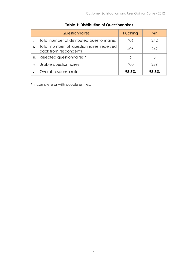|      | <b>Questionnaires</b>                                            | Kuching | Miri  |
|------|------------------------------------------------------------------|---------|-------|
|      | Total number of distributed questionnaires                       | 406     | 242   |
| ii.  | Total number of questionnaires received<br>back from respondents | 406     | 242   |
| iii. | Rejected questionnaires *                                        | 6       | 3     |
| iv.  | Usable questionnaires                                            | 400     | 239   |
| V.   | Overall response rate                                            | 98.5%   | 98.8% |

#### Table 1: Distribution of Questionnaires

\* Incomplete or with double entries.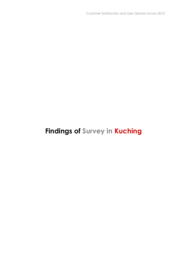### Findings of Survey in Kuching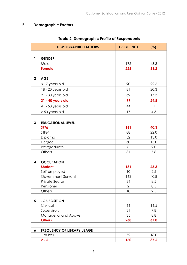### F. Demographic Factors

|                | <b>DEMOGRAPHIC FACTORS</b>        | <b>FREQUENCY</b> | (%)  |
|----------------|-----------------------------------|------------------|------|
|                |                                   |                  |      |
| 1              | <b>GENDER</b>                     |                  |      |
|                | Male                              | 175              | 43.8 |
|                | <b>Female</b>                     | 225              | 56.2 |
|                |                                   |                  |      |
| $\overline{2}$ | <b>AGE</b>                        |                  |      |
|                | <17 years old                     | 90               | 22.5 |
|                | 18 - 20 years old                 | 81               | 20.3 |
|                | 21 - 30 years old                 | 69               | 17.3 |
|                | 31 - 40 years old                 | 99               | 24.8 |
|                | 41 - 50 years old                 | 44               | 11   |
|                | > 50 years old                    | 17               | 4.3  |
|                |                                   |                  |      |
| $\mathbf{3}$   | <b>EDUCATIONAL LEVEL</b>          |                  |      |
|                | <b>SPM</b>                        | 161              | 40.3 |
|                | <b>STPM</b>                       | 88               | 22.0 |
|                | Diploma                           | 52               | 13.0 |
|                | Degree                            | 60               | 15.0 |
|                | Postgraduate                      | 8                | 2.0  |
|                | Others                            | 31               | 7.8  |
|                |                                   |                  |      |
| 4              | <b>OCCUPATION</b>                 |                  |      |
|                | <b>Student</b>                    | 181              | 45.3 |
|                | Self-employed                     | 10               | 2.5  |
|                | Government Servant                | 163              | 40.8 |
|                | Private Sector                    | 34               | 8.5  |
|                | Pensioner                         | $\overline{2}$   | 0.5  |
|                | <b>Others</b>                     | 10               | 2.5  |
| 5              | <b>JOB POSITION</b>               |                  |      |
|                | Clerical                          | 66               | 16.5 |
|                | Supervisory                       | 31               | 7.8  |
|                | Managerial and Above              | 35               | 8.8  |
|                | <b>Others</b>                     | 268              | 67.0 |
|                |                                   |                  |      |
| 6              | <b>FREQUENCY OF LIBRARY USAGE</b> |                  |      |
|                | 1 or less                         | 72               | 18.0 |
|                | $2 - 5$                           | 150              | 37.5 |

#### Table 2: Demographic Profile of Respondents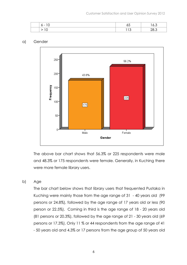| - |                       | $\overline{\phantom{a}}$<br>U.U |
|---|-----------------------|---------------------------------|
|   | $\epsilon$<br>$\cdot$ | $\cdot$                         |

#### a) Gender



The above bar chart shows that 56.3% or 225 respondents were male and 48.3% or 175 respondents were female. Generally, in Kuching there were more female library users.

#### b) Age

The bar chart below shows that library users that frequented Pustaka in Kuching were mainly those from the age range of 31 - 40 years old (99 persons or 24.8%), followed by the age range of 17 years old or less (90 person or 22.5%). Coming in third is the age range of 18 - 20 years old (81 persons or 20.3%), followed by the age range of 21 - 30 years old (69 persons or 17.3%). Only 11 % or 44 respondents from the age range of 41 - 50 years old and 4.3% or 17 persons from the age group of 50 years old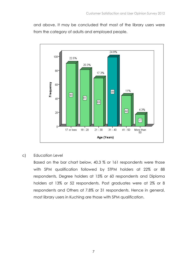and above. It may be concluded that most of the library users were from the category of adults and employed people.



#### c) Education Level

Based on the bar chart below, 40.3 % or 161 respondents were those with SPM qualification followed by STPM holders at 22% or 88 respondents, Degree holders at 15% or 60 respondents and Diploma holders at 13% or 52 respondents. Post graduates were at 2% or 8 respondents and Others at 7.8% or 31 respondents. Hence in general, most library users in Kuching are those with SPM qualification.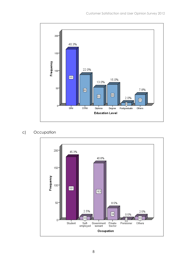

#### c) Occupation

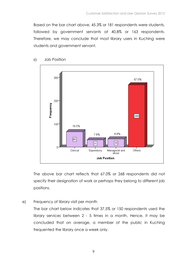Based on the bar chart above, 45.3% or 181 respondents were students, followed by government servants at 40.8% or 163 respondents. Therefore, we may conclude that most library users in Kuching were students and government servant.



c) Job Position

The above bar chart reflects that 67.0% or 268 respondents did not specify their designation of work or perhaps they belong to different job positions.

e) Frequency of library visit per month

The bar chart below indicates that 37.5% or 150 respondents used the library services between 2 - 5 times in a month. Hence, it may be concluded that on average, a member of the public in Kuching frequented the library once a week only.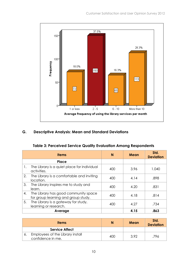

#### G. Descriptive Analysis: Mean and Standard Deviations

#### Table 3: Perceived Service Quality Evaluation Among Respondents

|    | <b>Items</b>                                                                | N   | Mean | Std.<br><b>Deviation</b> |
|----|-----------------------------------------------------------------------------|-----|------|--------------------------|
|    | Place                                                                       |     |      |                          |
| 1. | The Library is a quiet place for individual<br>activities.                  | 400 | 3.96 | 1.040                    |
| 2. | The Library is a comfortable and inviting<br>location.                      | 400 | 4.14 | .898                     |
| 3. | The Library inspires me to study and<br>learn.                              | 400 | 4.20 | .831                     |
| 4. | The Library has good community space<br>for group learning and group study. | 400 | 4.18 | .814                     |
| 5. | The Library is a gateway for study,<br>learning or research.                | 400 | 4.27 | .734                     |
|    | Average                                                                     |     | 4.15 | .863                     |

| <b>Items</b>                                          | N   | <b>Mean</b> | Std.<br><b>Deviation</b> |
|-------------------------------------------------------|-----|-------------|--------------------------|
| <b>Service Affect</b>                                 |     |             |                          |
| Employees of the Library install<br>confidence in me. | 400 | 3.92        | .796                     |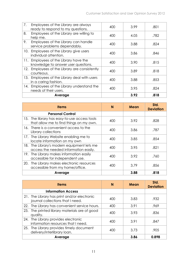| 7.  | Employees of the Library are always<br>ready to respond to my questions. | 400 | 3.99 | .801 |
|-----|--------------------------------------------------------------------------|-----|------|------|
| 8.  | Employees of the Library are willing to<br>help me.                      | 400 | 4.05 | .782 |
| 9.  | Employees of the Library can handle<br>service problems dependably.      | 400 | 3.88 | .824 |
| 10. | Employees of the Library give users<br>individual attention.             | 400 | 3.86 | .846 |
| 11. | Employees of the Library have the<br>knowledge to answer user questions. | 400 | 3.90 | .815 |
| 12. | Employees of the Library are consistently<br>courteous.                  | 400 | 3.89 | .818 |
| 13. | Employees of the Library deal with users<br>in a caring fashion.         | 400 | 3.88 | .853 |
| 14. | Employees of the Library understand the<br>needs of their users.         | 400 | 3.95 | .824 |
|     | Average                                                                  |     | 3.92 | .818 |

| <b>Items</b>                                                                            | N   | Mean | Std.<br><b>Deviation</b> |
|-----------------------------------------------------------------------------------------|-----|------|--------------------------|
| <b>Personal Control</b>                                                                 |     |      |                          |
| 15. The library has easy-to-use access tools<br>that allow me to find things on my own. | 400 | 3.92 | .828                     |
| 16. There is a convenient access to the<br>Library collections                          | 400 | 3.86 | .787                     |
| 17. The Library Website enabling me to<br>locate information on my own                  | 400 | 3.85 | .854                     |
| The Library's modern equipment lets me<br>18.<br>access the needed information easily.  | 400 | 3.95 | .821                     |
| The Library makes information easily<br>19.<br>accessible for independent use.          | 400 | 3.92 | .760                     |
| 20. The Library makes electronic resources<br>accessible from my home/office.           | 400 | 3.79 | .856                     |
| Average                                                                                 |     | 3.88 | .818                     |

|     |                                                                                 |     |      | Std.             |
|-----|---------------------------------------------------------------------------------|-----|------|------------------|
|     | <b>Items</b>                                                                    | N   | Mean | <b>Deviation</b> |
|     | <b>Information Access</b>                                                       |     |      |                  |
|     | 21. The Library has print and/or electronic<br>journal collections that I need. | 400 | 3.83 | .932             |
| 22. | The Library has convenient service hours.                                       | 400 | 3.91 | .969             |
|     | 23. The printed library materials are of good<br>quality.                       | 400 | 3.93 | .836             |
|     | 24. The Library provides electronic<br>information resources that I need.       | 400 | 3.91 | .847             |
|     | 25. The Library provides timely document<br>delivery/interlibrary loan.         | 400 | 3.73 | .905             |
|     | Average                                                                         |     | 3.86 | 0.898            |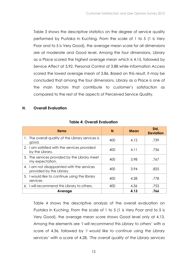Table 3 shows the descriptive statistics on the degree of service quality performed by Pustaka in Kuching. From the scale of 1 to 5 (1 is Very Poor and to 5 is Very Good), the average mean score for all dimensions are at moderate and Good level. Among the four dimensions, Library as a Place scored the highest average mean which is 4.15, followed by Service Affect at 3.92, Personal Control at 3.88 while Information Access scored the lowest average mean of 3.86. Based on this result, it may be concluded that among the four dimensions, Library as a Place is one of the main factors that contribute to customer's satisfaction as compared to the rest of the aspects of Perceived Service Quality.

#### H. Overall Evaluation

| <b>Items</b>                                                           | N   | Mean | Std.<br><b>Deviation</b> |
|------------------------------------------------------------------------|-----|------|--------------------------|
| 1. The overall quality of the Library services is<br>good.             | 400 | 4.12 | .739                     |
| 2. I am satisfied with the services provided<br>by the Library.        | 400 | 4.11 | .736                     |
| 3. The services provided by the Library meet<br>my expectation.        | 400 | 3.98 | .767                     |
| 4. I am not disappointed with the services<br>provided by the Library. | 400 | 3.94 | .825                     |
| 5. I would like to continue using the library<br>services              | 400 | 4.28 | .778                     |
| 6. I will recommend this Library to others.                            | 400 | 4.36 | .753                     |
| Average                                                                |     | 4.13 | .766                     |

#### Table 4: Overall Evaluation

Table 4 shows the descriptive analysis of the overall evaluation on Pustaka in Kuching. From the scale of 1 to 5 (1 is Very Poor and to 5 is Very Good), the average mean score shows Good level only at 4.13. Among the elements are 'I will recommend this Library to others' with a score of 4.36, followed by 'I would like to continue using the Library services' with a score of 4.28, 'The overall quality of the Library services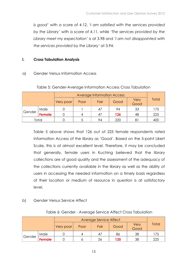is good' with a score of 4.12, 'I am satisfied with the services provided by the Library' with a score of 4.11, while 'The services provided by the Library meet my expectation' is at 3.98 and 'I am not disappointed with the services provided by the Library' at 3.94.

#### I. Cross Tabulation Analysis

#### a) Gender Versus Information Access

|        | <b>Average Information Access</b> |           |      |      |      |              |       |
|--------|-----------------------------------|-----------|------|------|------|--------------|-------|
|        |                                   | Very poor | Poor | Fair | Good | Very<br>Good | Total |
| Gender | Male                              |           |      | 47   | 94   | 33           | 175   |
|        | <b>Female</b>                     |           |      | 47   | 126  | 48           | 225   |
|        | Total                             |           |      | 94   | 220  | 81           | 400   |

#### Table 5: Gender-Average Information Access Cross Tabulation

Table 5 above shows that 126 out of 225 female respondents rated Information Access of the library as 'Good'. Based on the 5-point Likert Scale, this is at almost excellent level. Therefore, it may be concluded that generally, female users in Kuching believed that the library collections are of good quality and the assessment of the adequacy of the collections currently available in the library as well as the ability of users in accessing the needed information on a timely basis regardless of their location or medium of resource in question is at satisfactory level.

#### b) Gender Versus Service Affect

#### Average Service Affect Very poor Poor Fair Good Very Good **Total** Gender Male 0 4 47 86 38 175 Female 0 6 56 125 38 225

#### Table 6: Gender - Average Service Affect Cross Tabulation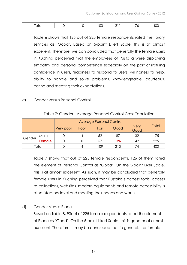|  |  |  |  |  |  |  |  | ∕∣ |
|--|--|--|--|--|--|--|--|----|
|--|--|--|--|--|--|--|--|----|

Table 6 shows that 125 out of 225 female respondents rated the library services as 'Good'. Based on 5-point Likert Scale, this is at almost excellent. Therefore, we can concluded that generally the female users in Kuching perceived that the employees of Pustaka were displaying empathy and personal competence especially on the part of instilling confidence in users, readiness to respond to users, willingness to help, ability to handle and solve problems, knowledgeable, courteous, caring and meeting their expectations.

#### c) Gender versus Personal Control

|        |               |           | <b>Average Personal Control</b> |      |      |              |       |  |  |  |
|--------|---------------|-----------|---------------------------------|------|------|--------------|-------|--|--|--|
|        |               | Very poor | Poor                            | Fair | Good | Very<br>Good | Total |  |  |  |
|        | Male          |           |                                 | 52   | 87   | 32           | 175   |  |  |  |
| Gender | <b>Female</b> |           |                                 | 57   | 126  | 42           | 225   |  |  |  |
| Total  |               |           |                                 | 109  | 213  | 74           | 400   |  |  |  |

Table 7: Gender - Average Personal Control Cross Tabulation

Table 7 shows that out of 225 female respondents, 126 of them rated the element of Personal Control as 'Good'. On the 5-point Liker Scale, this is at almost excellent. As such, it may be concluded that generally female users in Kuching perceived that Pustaka's access tools, access to collections, websites, modern equipments and remote accessibility is at satisfactory level and meeting their needs and wants.

d) Gender Versus Place

Based on Table 8, 93out of 225 female respondents rated the element of Place as 'Good'. On the 5-point Likert Scale, this is good or at almost excellent. Therefore, it may be concluded that in general, the female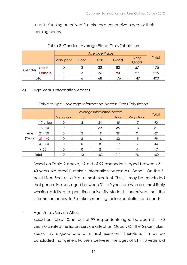users in Kuching perceived Pustaka as a conducive place for their learning needs.

|        |               |           | <b>Average Place</b> |      |      |              |       |  |  |  |
|--------|---------------|-----------|----------------------|------|------|--------------|-------|--|--|--|
|        |               | Very poor | Poor                 | Fair | Good | Very<br>Good | Total |  |  |  |
| Gender | Male          |           | 2                    | 32   | 83   | 57           | 175   |  |  |  |
|        | <b>Female</b> |           | ◠                    | 36   | 93   | 92           | 225   |  |  |  |
| Total  |               |           |                      | 68   | 176  | 149          | 400   |  |  |  |

#### Table 8: Gender - Average Place Cross Tabulation

#### e) Age Versus Information Access

|         |            |           | <b>Average Information Access</b> |                |      |                  |       |  |  |
|---------|------------|-----------|-----------------------------------|----------------|------|------------------|-------|--|--|
|         |            | Very poor | Poor                              | Fair           | Good | <b>Very Good</b> | Total |  |  |
|         | 17 or less |           | 5                                 | 24             | 45   | 17               | 90    |  |  |
|         | 18 - 20    |           |                                   | 32             | 35   | 13               | 81    |  |  |
| Age     | $21 - 30$  |           | ⌒                                 | 19             | 39   | $\circ$          | 69    |  |  |
| (Years) | $31 - 40$  |           | 3                                 | 18             | 62   | 19               | 99    |  |  |
|         | $41 - 50$  |           |                                   | 8              | 19   | 17               | 44    |  |  |
|         | $> 50$     |           |                                   | $\overline{2}$ | 11   | 4                | 17    |  |  |
| Total   |            |           | 10                                | 103            | 211  | 76               | 400   |  |  |

#### Table 9: Age - Average Information Access Cross Tabulation

Based on Table 9 above, 62 out of 99 respondents aged between 31 - 40 years old rated Pustaka's Information Access as 'Good". On the 5 point Likert Scale, this is at almost excellent. Thus, it may be concluded that generally, users aged between 31 - 40 years old who are most likely working adults and part time university students, perceived that the information access in Pustaka is meeting their expectation and needs.

#### f) Age Versus Service Affect

Based on Table 10, 61 out of 99 respondents aged between 31 - 40 years old rated the library service affect as 'Good'. On the 5-point Likert Scale, this is good and at almost excellent. Therefore, it may be concluded that generally, users between the ages of 31 - 40 years old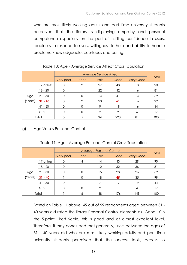who are most likely working adults and part time university students perceived that the library is displaying empathy and personal competence especially on the part of instilling confidence in users, readiness to respond to users, willingness to help and ability to handle problems, knowledgeable, courteous and caring.

Table 10: Age - Average Service Affect Cross Tabulation

|         |            |           | Average Service Affect |                |      |           |       |  |  |
|---------|------------|-----------|------------------------|----------------|------|-----------|-------|--|--|
|         |            | Very poor | Poor                   | Fair           | Good | Very Good | Total |  |  |
|         | 17 or less |           | 2                      | 27             | 48   | 13        | 90    |  |  |
|         | $18 - 20$  |           |                        | 22             | 42   | 16        | 81    |  |  |
| Age     | $21 - 30$  |           |                        | 14             | 41   | 14        | 69    |  |  |
| (Years) | $31 - 40$  |           | ⌒                      | 20             | 61   | 16        | 99    |  |  |
|         | $41 - 50$  |           |                        | 9              | 19   | 16        | 44    |  |  |
|         | $> 50$     |           |                        | $\mathfrak{D}$ | 9    | 6         | 17    |  |  |
| Total   |            |           |                        | 94             | 220  | 81        | 400   |  |  |

#### g) Age Versus Personal Control

|         |            |           | <b>Average Personal Control</b> |                   |      |                  |       |  |  |
|---------|------------|-----------|---------------------------------|-------------------|------|------------------|-------|--|--|
|         |            | Very poor | Poor                            | Fair              | Good | <b>Very Good</b> | Total |  |  |
|         | 17 or less |           |                                 | 14                | 43   | 29               | 90    |  |  |
|         | $18 - 20$  |           |                                 | $12 \overline{ }$ | 32   | 36               | 81    |  |  |
| Age     | $21 - 30$  |           |                                 | 15                | 28   | 26               | 69    |  |  |
| (Years) | $31 - 40$  |           |                                 | 18                | 45   | 35               | 99    |  |  |
|         | $41 - 50$  |           |                                 |                   | 17   | 19               | 44    |  |  |
|         | $> 50$     |           |                                 | റ                 | 11   | 4                | 17    |  |  |
| Total   |            |           |                                 | 68                | 176  | 149              | 400   |  |  |

Based on Table 11 above, 45 out of 99 respondents aged between 31 - 40 years old rated the library Personal Control elements as 'Good'. On the 5-point Likert Scale, this is good and at almost excellent level. Therefore, it may concluded that generally, users between the ages of 31 - 40 years old who are most likely working adults and part time university students perceived that the access tools, access to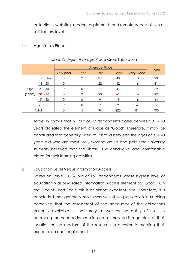collections, websites, modern equipments and remote accessibility is at satisfactory level.

#### h) Age Versus Place

|         |            |           | <b>Average Place</b> |                |      |                  |       |  |  |
|---------|------------|-----------|----------------------|----------------|------|------------------|-------|--|--|
|         |            | Very poor | Poor                 | Fair           | Good | <b>Very Good</b> | Total |  |  |
|         | 17 or less | 0         | ◠                    | 27             | 48   | 13               | 90    |  |  |
|         | $18 - 20$  | $\Omega$  |                      | 22             | 42   | 16               | 81    |  |  |
| Age     | $21 - 30$  |           |                      | 14             | 41   | 4                | 69    |  |  |
| (Years) | $31 - 40$  |           | റ                    | 20             | 61   | 16               | 99    |  |  |
|         | $41 - 50$  |           |                      | 9              | 19   | 16               | 44    |  |  |
|         | $> 50$     |           |                      | $\overline{2}$ | 9    | 6                | 17    |  |  |
| Total   |            |           |                      | 94             | 220  | 81               | 400   |  |  |

#### Table 12: Age - Average Place Cross Tabulation

Table 12 shows that 61 out of 99 respondents aged between 31 - 40 years old rated the element of Place as 'Good'. Therefore, it may be concluded that generally, users of Pustaka between the ages of 31 - 40 years old who are most likely working adults and part time university students believed that the library is a conducive and comfortable place for their learning activities.

#### i) Education Level Versus Information Access

Based on Table 13, 87 out of 161 respondents whose highest level of education was SPM rated Information Access element as 'Good'. On the 5-point Likert Scale this is at almost excellent level. Therefore, it is concluded that generally most users with SPM qualification in Kuching perceived that the assessment of the adequacy of the collections currently available in the library as well as the ability of users in accessing the needed information on a timely basis regardless of their location or the medium of the resource in question is meeting their expectation and requirements.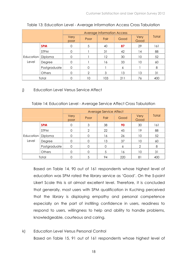|                              |              |              | <b>Average Information Access</b> |      |      |              |              |  |
|------------------------------|--------------|--------------|-----------------------------------|------|------|--------------|--------------|--|
|                              |              | Very<br>poor | Poor                              | Fair | Good | Very<br>Good | <b>Total</b> |  |
|                              | <b>SPM</b>   | $\Omega$     | 5                                 | 40   | 87   | 29           | 161          |  |
| Education   Diploma<br>Level | <b>STPM</b>  | $\Omega$     |                                   | 31   | 42   | 14           | 88           |  |
|                              |              | $\Omega$     |                                   | 12   | 30   | 10           | 52           |  |
|                              | Degree       | $\Omega$     |                                   | 16   | 33   | 10           | 60           |  |
|                              | Postgraduate | $\Omega$     | $\Omega$                          |      | 6    |              | 8            |  |
|                              | Others       |              | $\mathcal{P}$                     | 3    | 13   | 13           | 31           |  |
|                              | Total        |              | 10                                | 103  | 211  | 76           | 400          |  |

#### Table 13: Education Level - Average Information Access Cross Tabulation

#### j) Education Level Versus Service Affect

|  |  |  | Table 14: Education Level - Average Service Affect Cross Tabulation |
|--|--|--|---------------------------------------------------------------------|
|--|--|--|---------------------------------------------------------------------|

|                              |              |              | Average Service Affect |          |      |              |       |  |
|------------------------------|--------------|--------------|------------------------|----------|------|--------------|-------|--|
|                              |              | Very<br>poor | Poor                   | Fair     | Good | Very<br>Good | Total |  |
|                              | <b>SPM</b>   |              | 3                      | 38       | 90   | 30           | 161   |  |
| Education   Diploma<br>Level | <b>STPM</b>  |              | $\mathfrak{D}$         | 22       | 45   | 19           | 88    |  |
|                              |              |              | $\Omega$               | 16       | 26   | 10           | 52    |  |
|                              | Degree       | $\Omega$     | $\Omega$               | 13       | 37   | 10           | 60    |  |
|                              | Postgraduate | $\Omega$     | $\Omega$               | $\Omega$ | 6    | 2            | 8     |  |
|                              | Others       |              | $\Omega$               | 5        | 16   | 10           | 31    |  |
|                              | Total        |              | 5                      | 94       | 220  | 81           | 400   |  |

Based on Table 14, 90 out of 161 respondents whose highest level of education was SPM rated the library service as 'Good'. On the 5-point Likert Scale this is at almost excellent level. Therefore, it is concluded that generally, most users with SPM qualification in Kuching perceived that the library is displaying empathy and personal competence especially on the part of instilling confidence in users, readiness to respond to users, willingness to help and ability to handle problems, knowledgeable, courteous and caring.

k) Education Level Versus Personal Control Based on Table 15, 91 out of 161 respondents whose highest level of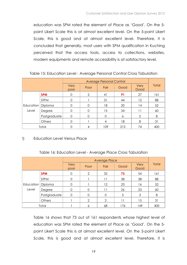education was SPM rated the element of Place as 'Good'. On the 5 point Likert Scale this is at almost excellent level. On the 5-point Likert Scale, this is good and at almost excellent level. Therefore, it is concluded that generally, most users with SPM qualification in Kuching perceived that the access tools, access to collections, websites, modern equipments and remote accessibility is at satisfactory level.

|           |              |              | <b>Average Personal Control</b> |      |      |               |       |  |
|-----------|--------------|--------------|---------------------------------|------|------|---------------|-------|--|
|           |              | Very<br>poor | Poor                            | Fair | Good | Very<br>Good  | Total |  |
|           | <b>SPM</b>   | 0            | $\overline{2}$                  | 41   | 91   | 27            | 161   |  |
|           | <b>STPM</b>  | $\Omega$     |                                 | 31   | 44   | 12            | 88    |  |
| Education | Diploma      | $\Omega$     | $\Omega$                        | 18   | 20   | 14            | 52    |  |
| Level     | Degree       | $\Omega$     | $\Omega$                        | 15   | 34   | 11            | 60    |  |
|           | Postgraduate | $\Omega$     | $\Omega$                        | 0    | 6    | $\mathcal{P}$ | 8     |  |
|           | Others       |              |                                 |      | 18   | 8             | 31    |  |
|           | Total        |              |                                 | 109  | 213  | 74            | 400   |  |

#### Table 15: Education Level - Average Personal Control Cross Tabulation

#### l) Education Level Versus Place

#### Table 16: Education Level - Average Place Cross Tabulation

|                     |              |                | <b>Average Place</b> |          |      |              |       |  |
|---------------------|--------------|----------------|----------------------|----------|------|--------------|-------|--|
|                     |              | Very<br>poor   | Poor                 | Fair     | Good | Very<br>Good | Total |  |
|                     | <b>SPM</b>   | 0              | $\overline{2}$       | 32       | 73   | 54           | 161   |  |
|                     | <b>STPM</b>  | $\Omega$       |                      | 11       | 38   | 38           | 88    |  |
| Education   Diploma |              | $\Omega$       |                      | 12       | 23   | 16           | 52    |  |
| Level               | Degree       | 0              | $\mathbf 0$          | 11       | 26   | 23           | 60    |  |
|                     | Postgraduate | $\overline{0}$ | $\Omega$             | $\Omega$ | 5    | 3            | 8     |  |
|                     | Others       |                | $\overline{2}$       | 2        | 11   | 15           | 31    |  |
|                     | Total        |                | 6                    | 68       | 176  | 149          | 400   |  |

Table 16 shows that 73 out of 161 respondents whose highest level of education was SPM rated the element of Place as 'Good'. On the 5 point Likert Scale this is at almost excellent level. On the 5-point Likert Scale, this is good and at almost excellent level. Therefore, it is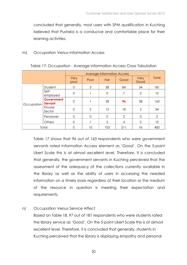concluded that generally, most users with SPM qualification in Kuching believed that Pustaka is a conducive and comfortable place for their learning activities.

#### m) Occupation Versus Information Access

|            |                              | Very<br>poor   | Poor     | Fair        | Good          | Very<br>Good   | <b>Total</b>   |
|------------|------------------------------|----------------|----------|-------------|---------------|----------------|----------------|
|            | Student                      | $\Omega$       | 5        | 58          | 84            | 34             | 181            |
| Occupation | Self-<br>employed            | $\Omega$       |          | $\mathbf 0$ | 7             | $\overline{2}$ | 10             |
|            | <b>Government</b><br>Servant | $\overline{0}$ |          | 28          | 96            | 38             | 163            |
|            | Private<br>Sector            | $\overline{0}$ | 2        | 12          | 18            | 2              | 34             |
|            | Pensioner                    | $\Omega$       | $\Omega$ | $\Omega$    | $\mathcal{P}$ | $\Omega$       | $\overline{2}$ |
|            | <b>Others</b>                | 0              |          | 5           | 4             | $\Omega$       | 10             |
| Total      |                              |                | 10       | 103         | 211           | 76             | 400            |

#### Table 17: Occupation - Average Information Access Cross Tabulation

Table 17 shows that 96 out of 163 respondents who were government servants rated Information Access element as 'Good'. On the 5-point Likert Scale this is at almost excellent level. Therefore, it is concluded that generally, the government servants in Kuching perceived that the assessment of the adequacy of the collections currently available in the library as well as the ability of users in accessing the needed information on a timely basis regardless of their location or the medium of the resource in question is meeting their expectation and requirements.

#### n) Occupation Versus Service Affect

Based on Table 18, 97 out of 181 respondents who were students rated the library service as 'Good'. On the 5-point Likert Scale this is at almost excellent level. Therefore, it is concluded that generally, students in Kuching perceived that the library is displaying empathy and personal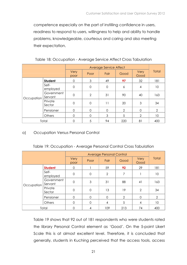competence especially on the part of instilling confidence in users, readiness to respond to users, willingness to help and ability to handle problems, knowledgeable, courteous and caring and also meeting their expectation.

|            |                       | Very<br>poor | Poor          | Fair           | Good          | Very<br>Good | Total |
|------------|-----------------------|--------------|---------------|----------------|---------------|--------------|-------|
|            | <b>Student</b>        | 0            | 3             | 49             | 97            | 32           | 181   |
|            | Self-<br>employed     | $\mathbf 0$  | $\Omega$      | $\overline{O}$ | 6             | 4            | 10    |
| Occupation | Government<br>Servant | $\mathbf 0$  | $\mathcal{P}$ | 31             | 90            | 40           | 163   |
|            | Private<br>Sector     | $\mathbf 0$  | $\mathbf 0$   | 11             | 20            | 3            | 34    |
|            | Pensioner             | $\Omega$     | $\Omega$      | $\Omega$       | $\mathcal{P}$ | $\Omega$     | 2     |
|            | Others                | $\Omega$     | $\Omega$      | 3              | 5             | 2            | 10    |
| Total      |                       | $\Omega$     | 5             | 94             | 220           | 81           | 400   |

#### Table 18: Occupation - Average Service Affect Cross Tabulation

#### o) Occupation Versus Personal Control

| Table 19: Occupation - Average Personal Control Cross Tabulation |
|------------------------------------------------------------------|
|------------------------------------------------------------------|

|            |                       | Very<br>poor   | Poor        | Fair           | Good           | Very<br>Good | Total          |
|------------|-----------------------|----------------|-------------|----------------|----------------|--------------|----------------|
|            | <b>Student</b>        | $\Omega$       |             | 59             | 92             | 29           | 181            |
| Occupation | Self-<br>employed     | $\overline{0}$ | $\mathbf 0$ | $\overline{2}$ | 7              |              | 10             |
|            | Government<br>Servant | $\mathbf 0$    | 3           | 31             | 88             | 41           | 163            |
|            | Private<br>Sector     | $\mathbf 0$    | $\mathbf 0$ | 13             | 19             | 2            | 34             |
|            | Pensioner             | $\Omega$       | $\Omega$    | $\overline{0}$ | $\overline{2}$ | $\Omega$     | $\overline{2}$ |
|            | Others                | $\Omega$       | 0           | 4              | 5              | 4            | 10             |
| Total      |                       | $\Omega$       | 4           | 109            | 213            | 74           | 400            |

Table 19 shows that 92 out of 181 respondents who were students rated the library Personal Control element as 'Good'. On the 5-point Likert Scale this is at almost excellent level. Therefore, it is concluded that generally, students in Kuching perceived that the access tools, access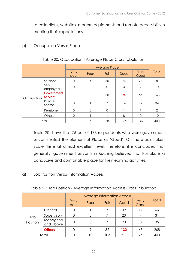to collections, websites, modern equipments and remote accessibility is meeting their expectations.

#### p) Occupation Versus Place

|            |                       | Very<br>poor | Poor        | Fair        | Good | Very<br>Good | Total          |
|------------|-----------------------|--------------|-------------|-------------|------|--------------|----------------|
|            | Student               | $\Omega$     | 4           | 30          | 74   | 73           | 181            |
| Occupation | Self-<br>employed     | $\mathbf 0$  | $\mathbf 0$ | $\mathbf 0$ | 3    | 7            | 10             |
|            | Government<br>Servant |              | $\mathbf 0$ | 30          | 76   | 56           | 163            |
|            | Private<br>Sector     | $\mathbf 0$  |             | 7           | 14   | 12           | 34             |
|            | Pensioner             | $\mathbf 0$  | $\Omega$    | $\Omega$    |      |              | $\overline{2}$ |
|            | Others                | $\Omega$     |             |             | 8    | $\Omega$     | 10             |
| Total      |                       |              | 6           | 68          | 176  | 149          | 400            |

#### Table 20: Occupation - Average Place Cross Tabulation

Table 20 shows that 76 out of 163 respondents who were government servants rated the element of Place as 'Good'. On the 5-point Likert Scale this is at almost excellent level. Therefore, it is concluded that generally, government servants in Kuching believed that Pustaka is a conducive and comfortable place for their learning activities.

#### q) Job Position Versus Information Access

|                 |                         | <b>Average Information Access</b> |      |      |      |              |       |
|-----------------|-------------------------|-----------------------------------|------|------|------|--------------|-------|
|                 |                         | Very<br>poor                      | Poor | Fair | Good | Very<br>Good | Total |
| Job<br>Position | Clerical                |                                   |      |      | 39   | 19           | 66    |
|                 | Supervisory             |                                   |      |      | 20   | 4            | 31    |
|                 | Managerial<br>and above | 0                                 | O    |      | 20   | 8            | 35    |
|                 | <b>Others</b>           |                                   | Q    | 82   | 132  | 45           | 268   |
| Total           |                         |                                   | 10   | 103  | 21   | 76           | 400   |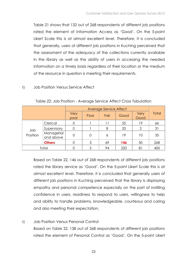Table 21 shows that 132 out of 268 respondents of different job positions rated the element of Information Access as 'Good'. On the 5-point Likert Scale this is at almost excellent level. Therefore, it is concluded that generally, users of different job positions in Kuching perceived that the assessment of the adequacy of the collections currently available in the library as well as the ability of users in accessing the needed information on a timely basis regardless of their location or the medium of the resource in question is meeting their requirements.

#### r) Job Position Versus Service Affect

|                 |                         | Very<br>poor   | Poor | Fair | Good | Very<br>Good   | Total |
|-----------------|-------------------------|----------------|------|------|------|----------------|-------|
| Jop<br>Position | Clerical                | 0              |      | 11   | 35   | 19             | 66    |
|                 | Supervisory             | 0              |      | 8    | 20   | $\overline{2}$ | 31    |
|                 | Managerial<br>and above | $\overline{O}$ | O    | 6    | 19   | 10             | 35    |
|                 | <b>Others</b>           | 0              | 3    | 69   | 146  | 50             | 268   |
| Total           |                         | 0              |      | 94   | 220  | 81             | 400   |

#### Table 22: Job Position - Average Service Affect Cross Tabulation

Based on Table 22, 146 out of 268 respondents of different job positions rated the library service as 'Good'. On the 5-point Likert Scale this is at almost excellent level. Therefore, it is concluded that generally users of different job positions in Kuching perceived that the library is displaying empathy and personal competence especially on the part of instilling confidence in users, readiness to respond to users, willingness to help and ability to handle problems, knowledgeable, courteous and caring and also meeting their expectation.

#### r) Job Position Versus Personal Control

Based on Table 22, 138 out of 268 respondents of different job positions rated the element of Personal Control as 'Good'. On the 5-point Likert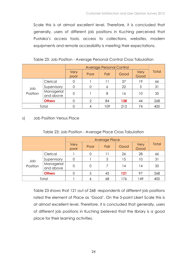Scale this is at almost excellent level. Therefore, it is concluded that generally, users of different job positions in Kuching perceived that Pustaka's access tools, access to collections, websites, modern equipments and remote accessibility is meeting their expectations.

| Table 23: Job Position - Average Personal Control Cross Tabulation |  |  |
|--------------------------------------------------------------------|--|--|
|                                                                    |  |  |

|                 |                         | Very<br>poor | Poor | Fair | Good | Very<br>Good | Total |
|-----------------|-------------------------|--------------|------|------|------|--------------|-------|
| Jop<br>Position | Clerical                |              |      | 11   | 37   | 19           | 66    |
|                 | Supervisory             |              |      | 6    | 22   | 3            | 31    |
|                 | Managerial<br>and above | 0            |      | 8    | 16   | 10           | 35    |
|                 | <b>Others</b>           |              | ⌒    | 84   | 138  | 44           | 268   |
| Total           |                         |              |      | 109  | 213  | 74           | 400   |

#### s) Job Position Versus Place

|                 |                         | Very<br>poor | Poor | Fair | Good | Very<br>Good | Total |
|-----------------|-------------------------|--------------|------|------|------|--------------|-------|
| Jop<br>Position | Clerical                |              |      | 11   | 26   | 28           | 66    |
|                 | Supervisory             | 0            |      | 5    | 15   | 10           | 31    |
|                 | Managerial<br>and above | 0            | 0    | 7    | 4    | 14           | 35    |
|                 | <b>Others</b>           | 0            | 5    | 45   | 121  | 97           | 268   |
| Total           |                         |              |      | 68   | 176  | 149          | 400   |

Table 23 shows that 121 out of 268 respondents of different job positions rated the element of Place as 'Good'. On the 5-point Likert Scale this is at almost excellent level. Therefore, it is concluded that generally, users of different job positions in Kuching believed that the library is a good place for their learning activities.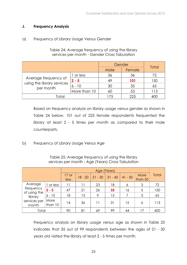#### J. Frequency Analysis

#### a) Frequency of Library Usage Versus Gender

|                                         | Gender       | Total |        |     |
|-----------------------------------------|--------------|-------|--------|-----|
|                                         |              | Male  | Female |     |
|                                         | or less      | 36    | 36     | 72  |
| Average frequency of                    | $2 - 5$      | 49    | 101    | 150 |
| using the library services<br>per month | $6 - 10$     | 30    | 35     | 65  |
|                                         | More than 10 | 60    | 53     | 113 |
| Total                                   |              | 175   | 225    |     |

Table 24: Average frequency of using the library services per month - Gender Cross Tabulation

Based on frequency analysis on library usage versus gender as shown in Table 24 below, 101 out of 225 female respondents frequented the library at least 2 - 5 times per month as compared to their male counterparts.

b) Frequency of Library Usage Versus Age

|                           |                 |                 | Age (Years) |           |           |           |                        |              |  |  |
|---------------------------|-----------------|-----------------|-------------|-----------|-----------|-----------|------------------------|--------------|--|--|
|                           |                 | $17$ or<br>less | $18 - 20$   | $21 - 30$ | $31 - 40$ | $41 - 50$ | <b>More</b><br>than 50 | <b>Total</b> |  |  |
| Average                   | or less         | 11              | 11          | 23        | 18        | 6         | 3                      | 72           |  |  |
| frequency<br>of using the | $2 - 5$         | 47              | 21          | 26        | 35        | 16        | 5                      | 150          |  |  |
| library                   | $6 - 10$        | 18              | 13          | $\circ$   | 15        |           | 3                      | 65           |  |  |
| services per<br>month     | More<br>than 10 | 14              | 36          | 11        | 31        | 15        | 6                      | 113          |  |  |
| Total                     |                 | 90              | 81          | 69        | 99        | 44        | 17                     | 400          |  |  |

Table 25: Average frequency of using the library services per month - Age (Years) Cross Tabulation

Frequency analysis on library usage versus age as shown in Table 25 indicates that 35 out of 99 respondents between the ages of 21 - 30 years old visited the library at least 2 - 5 times per month.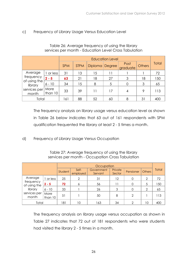#### c) Frequency of Library Usage Versus Education Level

|                           |                 |             | <b>Education Level</b> |    |                  |               |       |     |  |  |
|---------------------------|-----------------|-------------|------------------------|----|------------------|---------------|-------|-----|--|--|
|                           | <b>SPM</b>      | <b>STPM</b> | Diploma Degree         |    | Post<br>graduate | <b>Others</b> | Total |     |  |  |
| Average                   | or less         | 31          | 13                     | 15 | 11               |               |       | 72  |  |  |
| frequency<br>of using the | $2 - 5$         | 63          | 21                     | 18 | 27               | 3             | 18    | 150 |  |  |
| library                   | $6 - 10$        | 34          | 15                     | 8  | 5                |               | 3     | 65  |  |  |
| services per<br>month     | More<br>than 10 | 33          | 39                     | 11 | 17               | 4             | 9     | 113 |  |  |
| Total                     |                 | 161         | 88                     | 52 | 60               | 8             | 31    | 400 |  |  |

#### Table 26: Average frequency of using the library services per month - Education Level Cross Tabulation

The frequency analysis on library usage versus education level as shown in Table 26 below indicates that 63 out of 161 respondents with SPM qualification frequented the library at least 2 - 5 times a month.

d) Frequency of Library Usage Versus Occupation

|                           |                 |         | Occupation        |                       |                   |           |               |              |  |  |
|---------------------------|-----------------|---------|-------------------|-----------------------|-------------------|-----------|---------------|--------------|--|--|
|                           |                 | Student | Self-<br>employed | Government<br>Servant | Private<br>Sector | Pensioner | <b>Others</b> | <b>Total</b> |  |  |
| Average                   | 1 or less       | 25      | $\overline{2}$    | 31                    | 12                | 0         | 2             | 72           |  |  |
| frequency<br>of using the | $2 - 5$         | 72      | 6                 | 56                    | 11                | 0         | 5             | 150          |  |  |
| library                   | $6 - 10$        | 33      |                   | 26                    | 3                 | 0         | $\mathcal{P}$ | 65           |  |  |
| services per<br>month     | More<br>than 10 | 51      |                   | 50                    | 8                 | 2         |               | 113          |  |  |
| Total                     |                 | 181     | 10                | 163                   | 34                | ⌒         | 10            | 400          |  |  |

Table 27: Average frequency of using the library services per month - Occupation Cross Tabulation

The frequency analysis on library usage versus occupation as shown in Table 27 indicates that 72 out of 181 respondents who were students had visited the library 2 - 5 times in a month.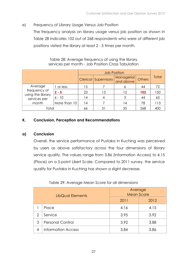#### e) Frequency of Library Usage Versus Job Position

The frequency analysis on library usage versus job position as shown in Table 28 indicates 102 out of 268 respondents who were of different job positions visited the library at least 2 - 5 times per month.

|                                   |              |                      | <b>Job Position</b>     |               |              |     |  |  |  |
|-----------------------------------|--------------|----------------------|-------------------------|---------------|--------------|-----|--|--|--|
|                                   |              | Clerical Supervisory | Managerial<br>and above | <b>Others</b> | <b>Total</b> |     |  |  |  |
| Average                           | 1 or less    | 15                   |                         | O             | 44           | 72  |  |  |  |
| frequency of<br>using the library | $2 - 5$      | 23                   | 13                      | 12            | 102          | 150 |  |  |  |
| services per                      | $6 - 10$     | 14                   | 4                       | 3             | 44           | 65  |  |  |  |
| month                             | More than 10 | 14                   |                         | 14            | 78           | 113 |  |  |  |
| Total                             |              | 66                   | 31                      | 35            | 268          | 40C |  |  |  |

Table 28: Average frequency of using the library services per month - Job Position Cross Tabulation

#### K. Conclusion, Perception and Recommendations

#### a) Conclusion

Overall, the service performance of Pustaka in Kuching was perceived by users as above satisfactory across the four dimensions of library service quality. The values range from 3.86 (Information Access) to 4.15 (Place) on a 5-point Likert Scale. Compared to 2011 survey, the service quality for Pustaka in Kuching has shown a slight decrease.

|   | LibQual Elements          | Average<br><b>Mean Score</b> |      |  |  |
|---|---------------------------|------------------------------|------|--|--|
|   |                           | 2011                         | 2012 |  |  |
|   | Place                     | 4.16                         | 4.15 |  |  |
| 2 | Service                   | 3.95                         | 3.92 |  |  |
| 3 | <b>Personal Control</b>   | 3.92                         | 3.88 |  |  |
| 4 | <b>Information Access</b> | 3.84                         | 3.86 |  |  |

|  |  |  | Table 29: Average Mean Score for all dimensions |
|--|--|--|-------------------------------------------------|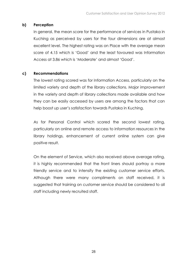#### b) Perception

In general, the mean score for the performance of services in Pustaka in Kuching as perceived by users for the four dimensions are at almost excellent level. The highest rating was on Place with the average mean score of 4.15 which is 'Good' and the least favoured was Information Access at 3.86 which is 'Moderate' and almost 'Good'.

#### c) Recommendations

The lowest rating scored was for Information Access, particularly on the limited variety and depth of the library collections. Major improvement in the variety and depth of library collections made available and how they can be easily accessed by users are among the factors that can help boost up user's satisfaction towards Pustaka in Kuching.

As for Personal Control which scored the second lowest rating, particularly on online and remote access to information resources in the library holdings, enhancement of current online system can give positive result.

On the element of Service, which also received above average rating, it is highly recommended that the front liners should portray a more friendly service and to intensify the existing customer service efforts. Although there were many compliments on staff received, it is suggested that training on customer service should be considered to all staff including newly recruited staff.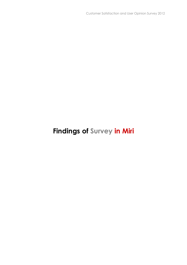### Findings of Survey in Miri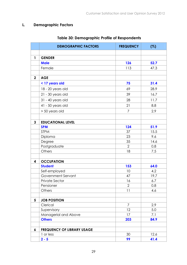#### L. Demographic Factors

|              | <b>DEMOGRAPHIC FACTORS</b>        | <b>FREQUENCY</b> | (%)  |
|--------------|-----------------------------------|------------------|------|
|              |                                   |                  |      |
| $\mathbf{1}$ | <b>GENDER</b>                     |                  |      |
|              | <b>Male</b>                       | 126              | 52.7 |
|              | Female                            | 113              | 47.3 |
|              |                                   |                  |      |
| $\mathbf 2$  | <b>AGE</b>                        |                  |      |
|              | < 17 years old                    | 75               | 31.4 |
|              | 18 - 20 years old                 | 69               | 28.9 |
|              | 21 - 30 years old                 | 39               | 16.7 |
|              | 31 - 40 years old                 | 28               | 11.7 |
|              | 41 - 50 years old                 | 21               | 8.8  |
|              | > 50 years old                    | $\overline{7}$   | 2.9  |
|              |                                   |                  |      |
| 3            | <b>EDUCATIONAL LEVEL</b>          |                  |      |
|              | <b>SPM</b>                        | 124              | 51.9 |
|              | <b>STPM</b>                       | 37               | 15.5 |
|              | Diploma                           | 23               | 9.6  |
|              | Degree                            | 35               | 14.6 |
|              | Postgraduate                      | $\overline{2}$   | 0.8  |
|              | Others                            | 18               | 7.5  |
|              |                                   |                  |      |
| 4            | <b>OCCUPATION</b>                 |                  |      |
|              | <b>Student</b>                    | 153              | 64.0 |
|              | Self-employed                     | 10               | 4.2  |
|              | Government Servant                | 47               | 19.7 |
|              | <b>Private Sector</b>             | 16               | 6.7  |
|              | Pensioner                         | $\overline{2}$   | 0.8  |
|              | Others                            | 11               | 4.6  |
|              |                                   |                  |      |
| 5            | <b>JOB POSITION</b>               |                  |      |
|              | Clerical                          | 7                | 2.9  |
|              | Supervisory                       | 12               | 5.0  |
|              | Managerial and Above              | 17               | 7.1  |
|              | <b>Others</b>                     | 203              | 84.9 |
| 6            | <b>FREQUENCY OF LIBRARY USAGE</b> |                  |      |
|              | 1 or less                         | 30               | 12.6 |
|              | $2 - 5$                           | 99               | 41.4 |

#### Table 30: Demographic Profile of Respondents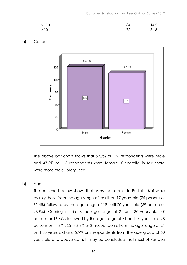| $\sim$ $-$ | т.∠ |
|------------|-----|
|            |     |

#### a) Gender



The above bar chart shows that 52.7% or 126 respondents were male and 47.3% or 113 respondents were female. Generally, in Miri there were more male library users.

b) Age

The bar chart below shows that users that came to Pustaka Miri were mainly those from the age range of less than 17 years old (75 persons or 31.4%) followed by the age range of 18 until 20 years old (69 person or 28.9%). Coming in third is the age range of 21 until 30 years old (39 persons or 16.3%), followed by the age range of 31 until 40 years old (28 persons or 11.8%). Only 8.8% or 21 respondents from the age range of 21 until 50 years old and 2.9% or 7 respondents from the age group of 50 years old and above cam. It may be concluded that most of Pustaka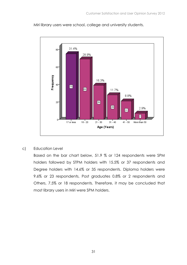Miri library users were school, college and university students.



c) Education Level

Based on the bar chart below, 51.9 % or 124 respondents were SPM holders followed by STPM holders with 15.5% or 37 respondents and Degree holders with 14.6% or 35 respondents. Diploma holders were 9.6% or 23 respondents, Post graduates 0.8% or 2 respondents and Others, 7.5% or 18 respondents. Therefore, it may be concluded that most library users in Miri were SPM holders.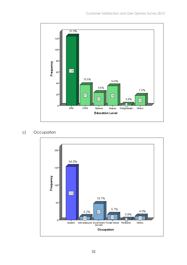

#### c) Occupation

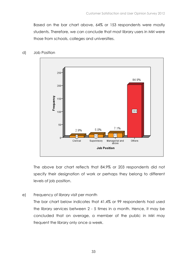Based on the bar chart above, 64% or 153 respondents were mostly students. Therefore, we can conclude that most library users in Miri were those from schools, colleges and universities.



#### d) Job Position

The above bar chart reflects that 84.9% or 203 respondents did not specify their designation of work or perhaps they belong to different levels of job position.

e) Frequency of library visit per month

The bar chart below indicates that 41.4% or 99 respondents had used the library services between 2 - 5 times in a month. Hence, it may be concluded that on average, a member of the public in Miri may frequent the library only once a week.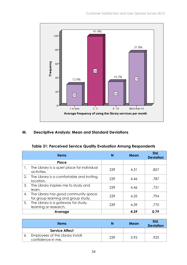

#### M. Descriptive Analysis: Mean and Standard Deviations

#### Table 31: Perceived Service Quality Evaluation Among Respondents

|    | <b>Items</b>                                                                | N   | Mean | Std.<br><b>Deviation</b> |
|----|-----------------------------------------------------------------------------|-----|------|--------------------------|
|    | Place                                                                       |     |      |                          |
| 1. | The Library is a quiet place for individual<br>activities.                  | 239 | 4.31 | .857                     |
| 2. | The Library is a comfortable and inviting<br>location.                      | 239 | 4.46 | .787                     |
| 3. | The Library inspires me to study and<br>learn.                              | 239 | 4.46 | .731                     |
| 4. | The Library has good community space<br>for group learning and group study. | 239 | 4.35 | .794                     |
| 5. | The Library is a gateway for study,<br>learning or research.                | 239 | 4.39 | .770                     |
|    | Average                                                                     |     | 4.39 | 0.79                     |

| <b>Items</b>                                          | N   | Mean | Std.<br><b>Deviation</b> |
|-------------------------------------------------------|-----|------|--------------------------|
| <b>Service Affect</b>                                 |     |      |                          |
| Employees of the Library install<br>confidence in me. | 239 | 3.92 | .925                     |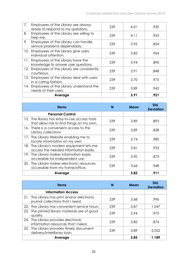| 7.  | Employees of the Library are always<br>ready to respond to my questions. | 239 | 4.01 | .930 |
|-----|--------------------------------------------------------------------------|-----|------|------|
| 8.  | Employees of the Library are willing to<br>help me.                      | 239 | 4.11 | .953 |
| 9.  | Employees of the Library can handle<br>service problems dependably.      | 239 | 3.92 | .854 |
| 10. | Employees of the Library give users<br>individual attention.             | 239 | 3.82 | .964 |
| 11. | Employees of the Library have the<br>knowledge to answer user questions. | 239 | 3.94 | .896 |
| 12. | Employees of the Library are consistently<br>courteous.                  | 239 | 3.91 | .848 |
| 13. | Employees of the Library deal with users<br>in a caring fashion.         | 239 | 3.70 | .975 |
| 14. | Employees of the Library understand the<br>needs of their users.         | 239 | 3.89 | .942 |
|     | Average                                                                  |     | 3.91 | .921 |

| <b>Items</b>                                                                            | N   | Mean | Std.<br><b>Deviation</b> |
|-----------------------------------------------------------------------------------------|-----|------|--------------------------|
| <b>Personal Control</b>                                                                 |     |      |                          |
| 15. The library has easy-to-use access tools<br>that allow me to find things on my own. | 239 | 3.89 | .893                     |
| 16. There is a convenient access to the<br>Library collections                          | 239 | 3.89 | .838                     |
| 17. The Library Website enabling me to<br>locate information on my own                  | 239 | 3.74 | .980                     |
| 18. The Library's modern equipment lets me<br>access the needed information easily.     | 239 | 3.81 | .933                     |
| 19. The Library makes information easily<br>accessible for independent use.             | 239 | 3.90 | .873                     |
| 20. The Library makes electronic resources<br>accessible from my home/office.           | 239 | 3.66 | .948                     |
| Average                                                                                 |     | 3.82 | .911                     |

| <b>Items</b>                                                                    | N   | Mean | Std.<br><b>Deviation</b> |
|---------------------------------------------------------------------------------|-----|------|--------------------------|
| <b>Information Access</b>                                                       |     |      |                          |
| 21. The Library has print and/or electronic<br>journal collections that I need. | 239 | 3.68 | .996                     |
| 22. The Library has convenient service hours.                                   | 239 | 3.87 | 1.047                    |
| 23. The printed library materials are of good<br>quality.                       | 239 | 3.94 | .975                     |
| 24. The Library provides electronic<br>information resources that I need.       | 239 | 3.85 | .874                     |
| 25. The Library provides timely document<br>delivery/interlibrary loan.         | 239 | 3.89 | 2.052                    |
| Average                                                                         |     | 3.85 | 1.189                    |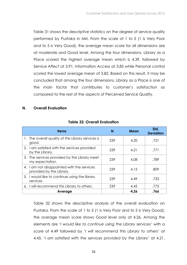Table 31 shows the descriptive statistics on the degree of service quality performed by Pustaka in Miri. From the scale of 1 to 5 (1 is Very Poor and to 5 is Very Good), the average mean score for all dimensions are at moderate and Good level. Among the four dimensions, Library as a Place scored the highest average mean which is 4.39, followed by Service Affect at 3.91, Information Access at 3.85 while Personal control scored the lowest average mean of 3.82. Based on this result, it may be concluded that among the four dimensions, Library as a Place is one of the main factor that contributes to customer's satisfaction as compared to the rest of the aspects of Perceived Service Quality.

#### N. Overall Evaluation

| <b>Items</b>                                                           |         | N   | Mean | Std.<br><b>Deviation</b> |
|------------------------------------------------------------------------|---------|-----|------|--------------------------|
| 1. The overall quality of the Library services is<br>good.             |         | 239 | 4.20 | .721                     |
| 2. I am satisfied with the services provided<br>by the Library.        |         | 239 | 4.21 | .771                     |
| 3. The services provided by the Library meet<br>my expectation.        |         | 239 | 4.08 | .789                     |
| 4. I am not disappointed with the services<br>provided by the Library. |         | 239 | 4.15 | .809                     |
| 5. I would like to continue using the library<br>services              |         | 239 | 4.49 | .733                     |
| 6. I will recommend this Library to others.                            |         | 239 | 4.45 | .775                     |
|                                                                        | Average |     | 4.26 | .766                     |

#### Table 32: Overall Evaluation

Table 32 shows the descriptive analysis of the overall evaluation on Pustaka. From the scale of 1 to 5 (1 is Very Poor and to 5 is Very Good), the average mean score shows Good level only at 4.26. Among the elements are 'I would like to continue using the Library services' with a score of 4.49 followed by 'I will recommend this Library to others' at 4.45, 'I am satisfied with the services provided by the Library' at 4.21,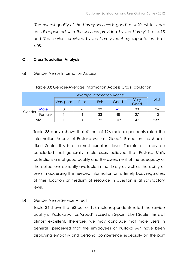'The overall quality of the Library services is good' at 4.20, while 'I am not disappointed with the services provided by the Library' is at 4.15 and 'The services provided by the Library meet my expectation' is at 4.08.

#### O. Cross Tabulation Analysis

#### a) Gender Versus Information Access

|        |             |           | <b>Average Information Access</b> |      |      |              |       |
|--------|-------------|-----------|-----------------------------------|------|------|--------------|-------|
|        |             | Very poor | Poor                              | Fair | Good | Very<br>Good | Total |
|        | <b>Male</b> |           |                                   | 39   | 61   | 33           | 126   |
| Gender | Female      |           |                                   | 33   | 48   | 27           | 113   |
| Total  |             |           |                                   | 77   | 109  |              | 239   |

#### Table 33: Gender-Average Information Access Cross Tabulation

Table 33 above shows that 61 out of 126 male respondents rated the Information Access of Pustaka Miri as 'Good". Based on the 5-point Likert Scale, this is at almost excellent level. Therefore, it may be concluded that generally, male users believed that Pustaka Miri's collections are of good quality and the assessment of the adequacy of the collections currently available in the library as well as the ability of users in accessing the needed information on a timely basis regardless of their location or medium of resource in question is at satisfactory level.

b) Gender Versus Service Affect

Table 34 shows that 63 out of 126 male respondents rated the service quality of Pustaka Miri as 'Good'. Based on 5-point Likert Scale, this is at almost excellent. Therefore, we may conclude that male users in general perceived that the employees of Pustaka Miri have been displaying empathy and personal competence especially on the part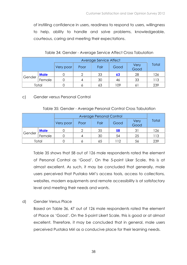of instilling confidence in users, readiness to respond to users, willingness to help, ability to handle and solve problems, knowledgeable, courteous, caring and meeting their expectations.

Table 34: Gender - Average Service Affect Cross Tabulation

| Average Service Affect |             |           |      |      |      |              |       |
|------------------------|-------------|-----------|------|------|------|--------------|-------|
|                        |             | Very poor | Poor | Fair | Good | Very<br>Good | Total |
|                        | <b>Male</b> |           |      | 33   | 63   | 28           | 126   |
| Gender                 | Female      |           |      | 30   | 46   | 33           | 113   |
| Total                  |             |           |      | 63   | 109  | 6            | 239   |

#### c) Gender versus Personal Control

|                  |             | Very poor | Poor | Fair | Good | Very<br>Good | Total |
|------------------|-------------|-----------|------|------|------|--------------|-------|
|                  | <b>Male</b> |           |      | 35   | 58   | 31           | 126   |
| Gender<br>Female |             |           |      | 30   | 54   | 25           | 113   |
| Total            |             |           |      | 65   | 112  | 56           | 239   |

Table 35 shows that 58 out of 126 male respondents rated the element of Personal Control as 'Good'. On the 5-point Liker Scale, this is at almost excellent. As such, it may be concluded that generally, male users perceived that Pustaka Miri's access tools, access to collections, websites, modern equipments and remote accessibility is at satisfactory level and meeting their needs and wants.

d) Gender Versus Place

Based on Table 36, 47 out of 126 male respondents rated the element of Place as 'Good'. On the 5-point Likert Scale, this is good or at almost excellent. Therefore, it may be concluded that in general, male users perceived Pustaka Miri as a conducive place for their learning needs.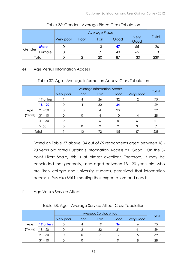|                  |             | Average Place |      |      |      |              |       |
|------------------|-------------|---------------|------|------|------|--------------|-------|
|                  |             | Very poor     | Poor | Fair | Good | Very<br>Good | Total |
|                  | <b>Male</b> |               |      | 13   | 47   | 65           | 126   |
| Gender<br>Female |             |               |      |      | 40   | 65           | 113   |
| Total            |             |               |      | 20   | 87   | 130          | 239   |

Table 36: Gender - Average Place Cross Tabulation

#### e) Age Versus Information Access

#### Table 37: Age - Average Information Access Cross Tabulation

|         |            | Very poor | Poor | Fair          | Good | <b>Very Good</b> | Total |
|---------|------------|-----------|------|---------------|------|------------------|-------|
|         | 17 or less |           |      | 26            | 32   | 12               | 75    |
|         | $18 - 20$  |           |      | 30            | 34   |                  | 69    |
| Age     | $21 - 30$  |           |      | 4             | 23   |                  | 39    |
| (Years) | $31 - 40$  |           |      | 4             | 10   | 14               | 28    |
|         | $41 - 50$  |           |      | 6             | 8    | 6                | 21    |
|         | $> 50$     |           |      | $\mathcal{P}$ | 2    | 3                |       |
|         | Total      |           | 10   | 72            | 109  | 47               | 239   |

Based on Table 37 above, 34 out of 69 respondents aged between 18 - 20 years old rated Pustaka's Information Access as 'Good". On the 5 point Likert Scale, this is at almost excellent. Therefore, it may be concluded that generally, users aged between 18 - 20 years old, who are likely college and university students, perceived that information access in Pustaka Miri is meeting their expectations and needs.

#### f) Age Versus Service Affect

#### Table 38: Age - Average Service Affect Cross Tabulation

|         |            | Very poor | Poor | Fair | Good | <b>Very Good</b> | Total |
|---------|------------|-----------|------|------|------|------------------|-------|
| Age     | 17 or less |           |      | 19   | 36   | . 6              | 75    |
| (Years) | $18 - 20$  |           |      | 32   | 31   |                  | 69    |
|         | $21 - 30$  |           |      |      |      | 15               | 39    |
|         | $31 - 40$  |           |      |      | о    | 8 ا              | 28    |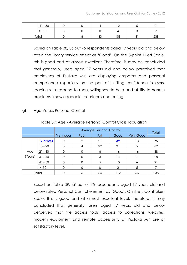| 5C<br>4 I<br>$\overline{\phantom{0}}$ |  |    | $\sqrt{2}$ |     |
|---------------------------------------|--|----|------------|-----|
| > 50                                  |  |    |            |     |
| $T \cap \mathcal{H} \cap$             |  | 63 | 109        | 239 |

Based on Table 38, 36 out 75 respondents aged 17 years old and below rated the library service affect as 'Good'. On the 5-point Likert Scale, this is good and at almost excellent. Therefore, it may be concluded that generally, users aged 17 years old and below perceived that employees of Pustaka Miri are displaying empathy and personal competence especially on the part of instilling confidence in users, readiness to respond to users, willingness to help and ability to handle problems, knowledgeable, courteous and caring.

#### g) Age Versus Personal Control

|         |            | Very poor | Poor | Fair | Good | Very Good | Total |
|---------|------------|-----------|------|------|------|-----------|-------|
|         | 17 or less | Ω         | ◠    | 21   | 39   | 13        | 75    |
|         | $18 - 20$  | ∩         |      | 29   | 31   | 5         | 69    |
| Age     | $21 - 30$  |           |      | 6    | 16   | 16        | 38    |
| (Years) | $31 - 40$  |           |      | 3    | 14   |           | 28    |
|         | $41 - 50$  | ∩         |      | 5    | 10   | 6         | 21    |
|         | $> 50$     |           |      | 0    | ↷    | 5         |       |
|         | Total      |           |      | 64   | 112  | 56        | 238   |

Table 39: Age - Average Personal Control Cross Tabulation

Based on Table 39, 39 out of 75 respondents aged 17 years old and below rated Personal Control element as 'Good'. On the 5-point Likert Scale, this is good and at almost excellent level. Therefore, it may concluded that generally, users aged 17 years old and below perceived that the access tools, access to collections, websites, modern equipment and remote accessibility at Pustaka Miri are at satisfactory level.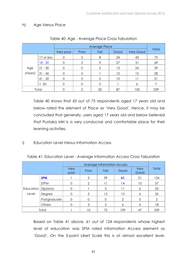#### h) Age Versus Place

|         |            |           |      | Average Place |      |           | Total |
|---------|------------|-----------|------|---------------|------|-----------|-------|
|         |            | Very poor | Poor | Fair          | Good | Very Good |       |
|         | 17 or less | 0         |      | 8             | 24   | 43        | 75    |
|         | $18 - 20$  | ∩         | 2    | 9             | 27   | 31        | 69    |
| Age     | $21 - 30$  | ∩         |      | $\mathcal{P}$ | 13   | 24        | 39    |
| (Years) | $31 - 40$  | $\Omega$  |      |               | 12   | 15        | 28    |
|         | $41 - 50$  | ∩         |      | 0             | 10   |           | 21    |
|         | $> 50$     | Ω         |      | 0             |      | 6         |       |
|         | Total      |           | ⌒    | 20            | 87   | 130       | 239   |

|  |  | Table 40: Age - Average Place Cross Tabulation |
|--|--|------------------------------------------------|
|  |  |                                                |
|  |  |                                                |

Table 40 shows that 43 out of 75 respondents aged 17 years old and below rated the element of Place as 'Very Good'. Hence, it may be concluded that generally, users aged 17 years old and below believed that Pustaka Miri is a very conducive and comfortable place for their learning activities.

i) Education Level Versus Information Access

|                     |              | Very<br>poor | Poor          | Fair     | Good          | Very<br>Good | Total         |
|---------------------|--------------|--------------|---------------|----------|---------------|--------------|---------------|
|                     | <b>SPM</b>   |              | 2             | 39       | 61            | 21           | 124           |
|                     | <b>STPM</b>  |              | 2             |          | 14            | 10           | 37            |
| Education   Diploma |              |              |               | 5        | 11            |              | 23            |
| Level               | Degree       |              | $\mathcal{D}$ | 12       | 15            | 6            | 35            |
|                     | Postgraduate | $\Omega$     | $\Omega$      | $\Omega$ | $\mathcal{P}$ |              | $\mathcal{P}$ |
|                     | Others       |              | 3             | 5        | 6             |              | 18            |
|                     | Total        |              | 10            | 72       | 109           | 47           | 239           |

Table 41: Education Level - Average Information Access Cross Tabulation

Based on Table 41 above, 61 out of 124 respondents whose highest level of education was SPM rated Information Access element as 'Good'. On the 5-point Likert Scale this is at almost excellent level.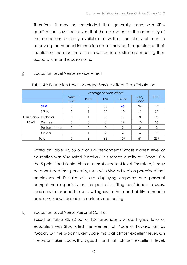Therefore, it may be concluded that generally, users with SPM qualification in Miri perceived that the assessment of the adequacy of the collections currently available as well as the ability of users in accessing the needed information on a timely basis regardless of their location or the medium of the resource in question are meeting their expectations and requirements.

#### j) Education Level Versus Service Affect

|                     |              | Average Service Affect |          |      |                |                |                |
|---------------------|--------------|------------------------|----------|------|----------------|----------------|----------------|
|                     |              | Very<br>poor           | Poor     | Fair | Good           | Very<br>Good   | Total          |
|                     | <b>SPM</b>   |                        | 3        | 30   | 65             | 26             | 124            |
|                     | <b>STPM</b>  |                        |          | 15   | 10             | 11             | 37             |
| Education   Diploma |              |                        |          | 5    | 9              | 8              | 23             |
| Level               | Degree       |                        | $\Omega$ | 6    | 19             | 10             | 35             |
|                     | Postgraduate |                        | $\Omega$ |      | $\overline{2}$ |                | $\overline{2}$ |
|                     | Others       |                        |          |      | 4              | Ô              | 18             |
| Total               |              |                        | 6        | 63   | 109            | 6 <sup>1</sup> | 239            |

#### Table 42: Education Level - Average Service Affect Cross Tabulation

Based on Table 42, 65 out of 124 respondents whose highest level of education was SPM rated Pustaka Miri's service quality as 'Good'. On the 5-point Likert Scale this is at almost excellent level. Therefore, it may be concluded that generally, users with SPM education perceived that employees of Pustaka Miri are displaying empathy and personal competence especially on the part of instilling confidence in users, readiness to respond to users, willingness to help and ability to handle problems, knowledgeable, courteous and caring.

#### k) Education Level Versus Personal Control

Based on Table 43, 62 out of 124 respondents whose highest level of education was SPM rated the element of Place of Pustaka Miri as 'Good'. On the 5-point Likert Scale this is at almost excellent level. On the 5-point Likert Scale, this is good and at almost excellent level.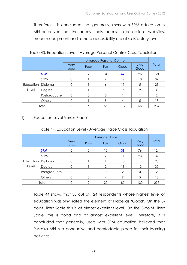Therefore, it is concluded that generally, users with SPM education in Miri perceived that the access tools, access to collections, websites, modern equipment and remote accessibility are at satisfactory level.

|                    |              |              |          | <b>Average Personal Control</b> |      |              |                |
|--------------------|--------------|--------------|----------|---------------------------------|------|--------------|----------------|
|                    |              | Very<br>poor | Poor     | Fair                            | Good | Very<br>Good | Total          |
|                    | <b>SPM</b>   | 0            | 2        | 34                              | 62   | 26           | 124            |
|                    | <b>STPM</b>  | $\Omega$     |          |                                 | 19   | 10           | 37             |
| Education<br>Level | Diploma      | O            |          | 6                               | 11   | 5            | 23             |
|                    | Degree       | O            |          | 10                              | 15   | Q            | 35             |
|                    | Postgraduate | $\Omega$     | $\Omega$ | 0                               |      |              | $\overline{2}$ |
|                    | Others       | 0            |          | 8                               | 4    | 5            | 18             |
|                    | Total        |              | 6        | 65                              | 112  | 56           | 239            |

#### Table 43: Education Level - Average Personal Control Cross Tabulation

#### l) Education Level Versus Place

#### Table 44: Education Level - Average Place Cross Tabulation

|                     |              | Very<br>poor | Poor           | Fair          | Good           | Very<br>Good | Total          |
|---------------------|--------------|--------------|----------------|---------------|----------------|--------------|----------------|
|                     | <b>SPM</b>   | 0            | $\overline{0}$ | 10            | 38             | 76           | 124            |
|                     | <b>STPM</b>  |              | $\mathbf 0$    | $\mathcal{P}$ | 11             | 23           | 37             |
| Education   Diploma |              |              |                |               | 10             | 11           | 23             |
| Level               | Degree       |              |                | $\Omega$      | 19             | 13           | 35             |
|                     | Postgraduate | $\Omega$     | $\mathbf 0$    | $\Omega$      | $\overline{2}$ |              | $\overline{2}$ |
|                     | Others       |              | $\Omega$       | 4             | 9              | 5            | 18             |
|                     | Total        |              | ∩              | 20            | 87             | 130          | 239            |

Table 44 shows that 38 out of 124 respondents whose highest level of education was SPM rated the element of Place as 'Good'. On the 5 point Likert Scale this is at almost excellent level. On the 5-point Likert Scale, this is good and at almost excellent level. Therefore, it is concluded that generally, users with SPM education believed that Pustaka Miri is a conducive and comfortable place for their learning activities.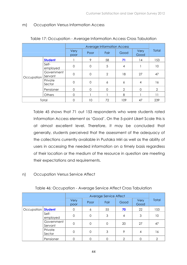#### m) Occupation Versus Information Access

|            |                       |                |                | <b>Average Information Access</b> |      |              |                |
|------------|-----------------------|----------------|----------------|-----------------------------------|------|--------------|----------------|
|            |                       | Very<br>poor   | Poor           | Fair                              | Good | Very<br>Good | Total          |
|            | <b>Student</b>        |                | 9              | 58                                | 71   | 14           | 153            |
|            | Self-<br>employed     | $\mathbf 0$    | $\overline{0}$ | 5                                 | 4    |              | 10             |
| Occupation | Government<br>Servant | $\mathbf 0$    | $\mathbf 0$    | $\overline{2}$                    | 18   | 27           | 47             |
|            | Private<br>Sector     | $\overline{0}$ | $\mathbf 0$    | 6                                 | 6    | 4            | 16             |
|            | Pensioner             | 0              | $\Omega$       | O                                 | 2    | 0            | $\overline{2}$ |
|            | Others                | 0              |                |                                   | 8    |              | 11             |
|            | Total                 |                | 10             | 72                                | 109  | 47           | 239            |

#### Table 17: Occupation - Average Information Access Cross Tabulation

Table 45 shows that 71 out 153 respondents who were students rated Information Access element as 'Good'. On the 5-point Likert Scale this is at almost excellent level. Therefore, it may be concluded that generally, students perceived that the assessment of the adequacy of the collections currently available in Pustaka Miri as well as the ability of users in accessing the needed information on a timely basis regardless of their location or the medium of the resource in question are meeting their expectations and requirements.

#### n) Occupation Versus Service Affect

|            |                       |              |      | Average Service Affect |      |              | Total |
|------------|-----------------------|--------------|------|------------------------|------|--------------|-------|
|            |                       | Very<br>poor | Poor | Fair                   | Good | Very<br>Good |       |
| Occupation | <b>Student</b>        | $\Omega$     | 6    | 55                     | 70   | 22           | 153   |
|            | Self-<br>employed     | $\Omega$     | 0    | 3                      | 4    | 3            | 10    |
|            | Government<br>Servant | $\Omega$     |      |                        | 20   | 27           | 47    |
|            | Private<br>Sector     | $\Omega$     |      | 3                      | 9    | 4            | 16    |
|            | Pensioner             |              |      |                        | ↷    |              | 2     |

#### Table 46: Occupation - Average Service Affect Cross Tabulation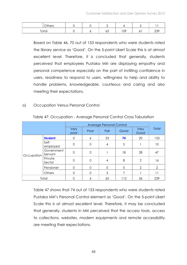| $\cap$ thers |  |    |         |   |         |
|--------------|--|----|---------|---|---------|
| Total        |  | ၀၁ | റാ<br>◡ | ັ | ~~<br>∼ |

Based on Table 46, 70 out of 153 respondents who were students rated the library service as 'Good'. On the 5-point Likert Scale this is at almost excellent level. Therefore, it is concluded that generally, students perceived that employees Pustaka Miri are displaying empathy and personal competence especially on the part of instilling confidence in users, readiness to respond to users, willingness to help and ability to handle problems, knowledgeable, courteous and caring and also meeting their expectations.

#### o) Occupation Versus Personal Control

|            |                       |                |          | Average Personal Control |          |                |                |
|------------|-----------------------|----------------|----------|--------------------------|----------|----------------|----------------|
|            |                       | Very<br>poor   | Poor     | Fair                     | Good     | Very<br>Good   | Total          |
|            | <b>Student</b>        | 0              | 6        | 53                       | 74       | 20             | 153            |
|            | Self-<br>employed     | $\mathbf 0$    | $\Omega$ | 4                        | 5        |                | 10             |
| Occupation | Government<br>Servant | $\overline{0}$ | 0        |                          | 18       | 28             | 47             |
|            | Private<br>Sector     | $\mathbf 0$    | $\Omega$ | 4                        | 8        | 2              | 16             |
|            | Pensioner             | $\Omega$       | $\cap$   | $\mathbf 0$              | $\Omega$ | $\overline{2}$ | $\overline{2}$ |
|            | <b>Others</b>         | $\Omega$       | $\Omega$ | 3                        | 7        |                | 11             |
| Total      |                       | $\Omega$       | 6        | 65                       | 112      | 56             | 239            |

#### Table 47: Occupation - Average Personal Control Cross Tabulation

Table 47 shows that 74 out of 153 respondents who were students rated Pustaka Miri's Personal Control element as 'Good'. On the 5-point Likert Scale this is at almost excellent level. Therefore, it may be concluded that generally, students in Miri perceived that the access tools, access to collections, websites, modern equipments and remote accessibility are meeting their expectations.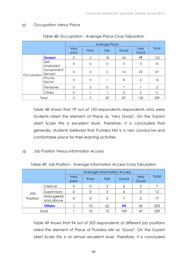#### p) Occupation Versus Place

|            |                       | Very<br>poor   | Poor                | Fair        | Good | Very<br>Good | <b>Total</b>   |
|------------|-----------------------|----------------|---------------------|-------------|------|--------------|----------------|
|            | <b>Student</b>        | 0              | $\overline{2}$      | 18          | 54   | 79           | 153            |
|            | Self-<br>employed     | $\mathbf 0$    | $\mathbf 0$         | $\mathbf 0$ | 5    | 5            | 10             |
| Occupation | Government<br>Servant | $\mathbf 0$    | $\mathbf 0$         | $\mathbf 0$ | 14   | 33           | 47             |
|            | Private<br>Sector     | $\mathbf 0$    | $\mathsf{O}\xspace$ |             | 8    | 6            | 16             |
|            | Pensioner             | $\overline{0}$ | 0                   | $\mathbf 0$ |      |              | $\overline{2}$ |
|            | Others                | $\Omega$       |                     |             | 5    | 5            | 11             |
|            | Total                 | O              | $\mathfrak{D}$      | 20          | 87   | 130          | 239            |

#### Table 48: Occupation - Average Place Cross Tabulation

Table 48 shows that 79 out of 153 respondents respondents who were students rated the element of Place as 'Very Good'. On the 5-point Likert Scale this is excellent level. Therefore, it is concluded that generally, students believed that Pustaka Miri is a very conducive and comfortable place for their learning activities.

q) Job Position Versus Information Access

|                 |                         |              |      | <b>Average Information Access</b> |      |              |              |
|-----------------|-------------------------|--------------|------|-----------------------------------|------|--------------|--------------|
|                 |                         | Very<br>poor | Poor | Fair                              | Good | Very<br>Good | <b>Total</b> |
|                 | Clerical                |              |      | $\overline{2}$                    | 2    | 3            |              |
| dol<br>Position | Supervisory             |              |      | 3                                 |      | 3            | 12           |
|                 | Managerial<br>and above |              |      | 5                                 |      | 5            | 17           |
|                 | <b>Others</b>           |              | 10   | 62                                | 94   | 36           | 203          |
| Total           |                         |              | 10   | 72                                | 109  | 47           | 239          |

Table 49: Job Position - Average Information Access Cross Tabulation

Table 49 shows that 94 out of 203 respondents of different job positions rated the element of Place of Pustaka Miri as 'Good'. On the 5-point Likert Scale this is at almost excellent level. Therefore, it is concluded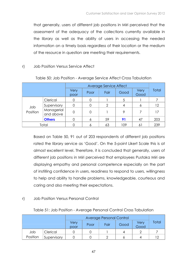that generally, users of different job positions in Miri perceived that the assessment of the adequacy of the collections currently available in the library as well as the ability of users in accessing the needed information on a timely basis regardless of their location or the medium of the resource in question are meeting their requirements.

#### r) Job Position Versus Service Affect

|                 |                         |              | Average Service Affect |      |      |              |              |  |  |  |
|-----------------|-------------------------|--------------|------------------------|------|------|--------------|--------------|--|--|--|
|                 |                         | Very<br>poor | Poor                   | Fair | Good | Very<br>Good | <b>Total</b> |  |  |  |
|                 | Clerical                |              |                        |      |      |              |              |  |  |  |
| dol<br>Position | Supervisory             |              |                        | 2    |      |              | 12           |  |  |  |
|                 | Managerial<br>and above | $\Omega$     |                        |      | 9    |              | 17           |  |  |  |
|                 | <b>Others</b>           |              | Ô                      | 59   | 91   | 47           | 203          |  |  |  |
| Total           |                         |              |                        | 63   | 109  |              | 239          |  |  |  |

#### Table 50: Job Position - Average Service Affect Cross Tabulation

Based on Table 50, 91 out of 203 respondents of different job positions rated the library service as 'Good'. On the 5-point Likert Scale this is at almost excellent level. Therefore, it is concluded that generally, users of different job positions in Miri perceived that employees Pustaka Miri are displaying empathy and personal competence especially on the part of instilling confidence in users, readiness to respond to users, willingness to help and ability to handle problems, knowledgeable, courteous and caring and also meeting their expectations.

#### r) Job Position Versus Personal Control

|          |             |              | <b>Average Personal Control</b> |      |      |              |       |  |  |  |
|----------|-------------|--------------|---------------------------------|------|------|--------------|-------|--|--|--|
|          |             | Very<br>poor | Poor                            | Fair | Good | Very<br>Good | Total |  |  |  |
| Job      | Clerical    |              |                                 |      |      |              |       |  |  |  |
| Position | Supervisory |              |                                 |      |      |              |       |  |  |  |

#### Table 51: Job Position - Average Personal Control Cross Tabulation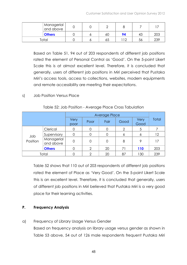| Managerial<br>and above |  |    |    |    |     |
|-------------------------|--|----|----|----|-----|
| <b>Others</b>           |  | 60 | 94 | 43 | 203 |
| Total                   |  | 65 |    | 56 | 239 |

Based on Table 51, 94 out of 203 respondents of different job positions rated the element of Personal Control as 'Good'. On the 5-point Likert Scale this is at almost excellent level. Therefore, it is concluded that generally, users of different job positions in Miri perceived that Pustaka Miri's access tools, access to collections, websites, modern equipments and remote accessibility are meeting their expectations.

#### s) Job Position Versus Place

| Table 52: Job Position - Average Place Cross Tabulation |
|---------------------------------------------------------|
|---------------------------------------------------------|

|                 |                         |              | Average Place |      |      |              |       |  |  |
|-----------------|-------------------------|--------------|---------------|------|------|--------------|-------|--|--|
|                 |                         | Very<br>poor | Poor          | Fair | Good | Very<br>Good | Total |  |  |
|                 | Clerical                |              |               | 0    | 2    | 5            |       |  |  |
| Job<br>Position | Supervisory             |              |               | 0    | O    | 6            | 12    |  |  |
|                 | Managerial<br>and above | 0            | 0             | 0    | 8    | 9            | 17    |  |  |
|                 | <b>Others</b>           |              | ⌒             | 20   | 71   | 110          | 203   |  |  |
| Total           |                         |              | ⌒             | 20   | 87   | 130          | 239   |  |  |

Table 52 shows that 110 out of 203 respondents of different job positions rated the element of Place as 'Very Good'. On the 5-point Likert Scale this is an excellent level. Therefore, it is concluded that generally, users of different job positions in Miri believed that Pustaka Miri is a very good place for their learning activities.

#### P. Frequency Analysis

#### a) Frequency of Library Usage Versus Gender

Based on frequency analysis on library usage versus gender as shown in Table 53 above, 54 out of 126 male respondents frequent Pustaka Miri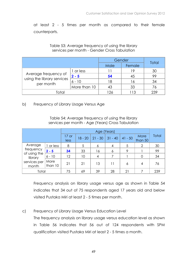at least 2 - 5 times per month as compared to their female counterparts.

|                                         |              | Gender |        | <b>Total</b> |
|-----------------------------------------|--------------|--------|--------|--------------|
|                                         |              | Male   | Female |              |
|                                         | 1 or less    |        | 19     | 30           |
| Average frequency of                    | $2 - 5$      | 54     | 45     | 99           |
| using the library services<br>per month | $6 - 10$     | 18     | 16     | 34           |
|                                         | More than 10 | 43     | 33     | 76           |
| Total                                   | 126          | -13    | 239    |              |

Table 53: Average frequency of using the library services per month - Gender Cross Tabulation

b) Frequency of Library Usage Versus Age

Table 54: Average frequency of using the library services per month - Age (Years) Cross Tabulation

|                         |                 |                 |           | Age (Years) |           |           |                 |              |
|-------------------------|-----------------|-----------------|-----------|-------------|-----------|-----------|-----------------|--------------|
|                         |                 | $17$ or<br>less | $18 - 20$ | $21 - 30$   | $31 - 40$ | $41 - 50$ | More<br>than 50 | <b>Total</b> |
| Average                 | I or less       | 8               | 5         | 6           | 4         | 5         | $\overline{2}$  | 30           |
| frequency               | $2 - 5$         | 34              | 33        | 16          | 6         | $\circ$   |                 | 99           |
| of using the<br>library | $6 - 10$        | 12              | 10        | 4           |           |           | $\Omega$        | 34           |
| services per<br>month   | More<br>than 10 | 21              | 21        | 13          | 11        | 6         | 4               | 76           |
| Total                   |                 | 75              | 69        | 39          | 28        | 21        |                 | 239          |

Frequency analysis on library usage versus age as shown in Table 54 indicates that 34 out of 75 respondents aged 17 years old and below visited Pustaka Miri at least 2 - 5 times per month.

#### c) Frequency of Library Usage Versus Education Level

The frequency analysis on library usage versus education level as shown in Table 56 indicates that 56 out of 124 respondents with SPM qualification visited Pustaka Miri at least 2 - 5 times a month.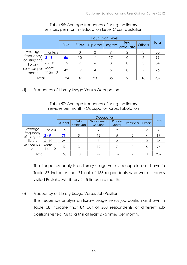|                         |                 |             | <b>Education Level</b> |    |                  |                |       |     |  |  |
|-------------------------|-----------------|-------------|------------------------|----|------------------|----------------|-------|-----|--|--|
|                         | <b>SPM</b>      | <b>STPM</b> | Diploma Degree         |    | Post<br>graduate | <b>Others</b>  | Total |     |  |  |
| Average                 | or less         | 11          | 3                      | 2  | 9                | $\overline{2}$ | 3     | 30  |  |  |
| frequency               | $2 - 5$         | 56          | 10                     | 1  | 17               |                | 5     | 99  |  |  |
| of using the<br>library | $6 - 10$        | 15          |                        | 6  | 3                |                | 3     | 34  |  |  |
| services per<br>month   | More<br>than 10 | 42          | 17                     | 4  | 6                | $\Omega$       |       | 76  |  |  |
| Total                   |                 | 124         | 37                     | 23 | 35               | ⌒              | 18    | 239 |  |  |

#### Table 55: Average frequency of using the library services per month - Education Level Cross Tabulation

d) Frequency of Library Usage Versus Occupation

#### Table 57: Average frequency of using the library services per month - Occupation Cross Tabulation

|                           |                 |         |                   | Occupation            |                   |               |               |              |
|---------------------------|-----------------|---------|-------------------|-----------------------|-------------------|---------------|---------------|--------------|
|                           |                 | Student | Self-<br>employed | Government<br>Servant | Private<br>Sector | Pensioner     | <b>Others</b> | <b>Total</b> |
| Average                   | or less         | 16      |                   | 9                     | $\overline{2}$    |               | 2             | 30           |
| frequency<br>of using the | $2 - 5$         | 71      | 5                 | 12                    | 5                 | $\mathcal{P}$ | 4             | 99           |
| library                   | $6 - 10$        | 24      |                   |                       | ⌒                 |               | 0             | 34           |
| services per<br>month     | More<br>than 10 | 42      | 3                 | 19                    |                   | 0             | 5             | 76           |
| Total                     |                 | 153     | 10                | 47                    | 16                | ↷             |               | 239          |

The frequency analysis on library usage versus occupation as shown in Table 57 indicates that 71 out of 153 respondents who were students visited Pustaka Miri library 2 - 5 times in a month.

e) Frequency of Library Usage Versus Job Position

The frequency analysis on library usage versus job position as shown in Table 58 indicate that 84 out of 203 respondents of different job positions visited Pustaka Miri at least 2 - 5 times per month.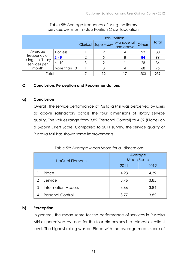|                                   |              |                      | <b>Job Position</b>     |               |       |     |  |  |  |
|-----------------------------------|--------------|----------------------|-------------------------|---------------|-------|-----|--|--|--|
|                                   |              | Clerical Supervisory | Managerial<br>and above | <b>Others</b> | Total |     |  |  |  |
| Average                           | 1 or less    |                      |                         |               | 23    | 30  |  |  |  |
| frequency of                      | $2 - 5$      | ⌒                    | 5                       | 8             | 84    | 99  |  |  |  |
| using the library<br>services per | $6 - 10$     | 3                    | $\overline{2}$          |               | 28    | 34  |  |  |  |
| month                             | More than 10 |                      | 3                       |               | 68    | 76  |  |  |  |
| Total                             |              |                      | 12                      |               | 203   | 239 |  |  |  |

#### Table 58: Average frequency of using the library services per month - Job Position Cross Tabulation

#### Q. Conclusion, Perception and Recommendations

#### a) Conclusion

Overall, the service performance of Pustaka Miri was perceived by users as above satisfactory across the four dimensions of library service quality. The values range from 3.82 (Personal Control) to 4.39 (Place) on a 5-point Likert Scale. Compared to 2011 survey, the service quality of Pustaka Miri has shown some improvements.

#### Table 59: Average Mean Score for all dimensions

|   | LibQual Elements          | Average<br><b>Mean Score</b> |      |  |  |
|---|---------------------------|------------------------------|------|--|--|
|   |                           | 2011                         | 2012 |  |  |
|   | Place                     | 4.23                         | 4.39 |  |  |
| 2 | Service                   | 3.76                         | 3.85 |  |  |
| 3 | <b>Information Access</b> | 3.66                         | 3.84 |  |  |
|   | <b>Personal Control</b>   | 3.77                         | 3.82 |  |  |

#### b) Perception

In general, the mean score for the performance of services in Pustaka Miri as perceived by users for the four dimensions is at almost excellent level. The highest rating was on Place with the average mean score of